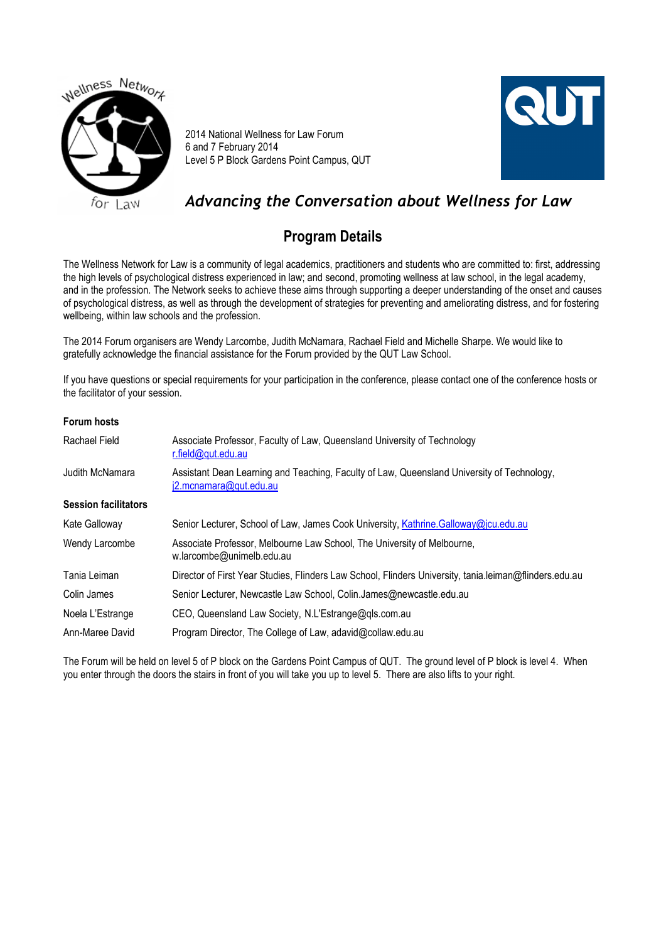

2014 National Wellness for Law Forum 6 and 7 February 2014 Level 5 P Block Gardens Point Campus, QUT



# *Advancing the Conversation about Wellness for Law*

# **Program Details**

The Wellness Network for Law is a community of legal academics, practitioners and students who are committed to: first, addressing the high levels of psychological distress experienced in law; and second, promoting wellness at law school, in the legal academy, and in the profession. The Network seeks to achieve these aims through supporting a deeper understanding of the onset and causes of psychological distress, as well as through the development of strategies for preventing and ameliorating distress, and for fostering wellbeing, within law schools and the profession.

The 2014 Forum organisers are Wendy Larcombe, Judith McNamara, Rachael Field and Michelle Sharpe. We would like to gratefully acknowledge the financial assistance for the Forum provided by the QUT Law School.

If you have questions or special requirements for your participation in the conference, please contact one of the conference hosts or the facilitator of your session.

#### **Forum hosts**

| Rachael Field               | Associate Professor, Faculty of Law, Queensland University of Technology<br>r.field@qut.edu.au                       |
|-----------------------------|----------------------------------------------------------------------------------------------------------------------|
| Judith McNamara             | Assistant Dean Learning and Teaching, Faculty of Law, Queensland University of Technology,<br>i2.mcnamara@qut.edu.au |
| <b>Session facilitators</b> |                                                                                                                      |
| Kate Galloway               | Senior Lecturer, School of Law, James Cook University, Kathrine.Galloway@jcu.edu.au                                  |
| Wendy Larcombe              | Associate Professor, Melbourne Law School, The University of Melbourne,<br>w.larcombe@unimelb.edu.au                 |
| Tania Leiman                | Director of First Year Studies, Flinders Law School, Flinders University, tania.leiman@flinders.edu.au               |
| Colin James                 | Senior Lecturer, Newcastle Law School, Colin.James@newcastle.edu.au                                                  |
| Noela L'Estrange            | CEO, Queensland Law Society, N.L'Estrange@qls.com.au                                                                 |
| Ann-Maree David             | Program Director, The College of Law, adavid@collaw.edu.au                                                           |

The Forum will be held on level 5 of P block on the Gardens Point Campus of QUT. The ground level of P block is level 4. When you enter through the doors the stairs in front of you will take you up to level 5. There are also lifts to your right.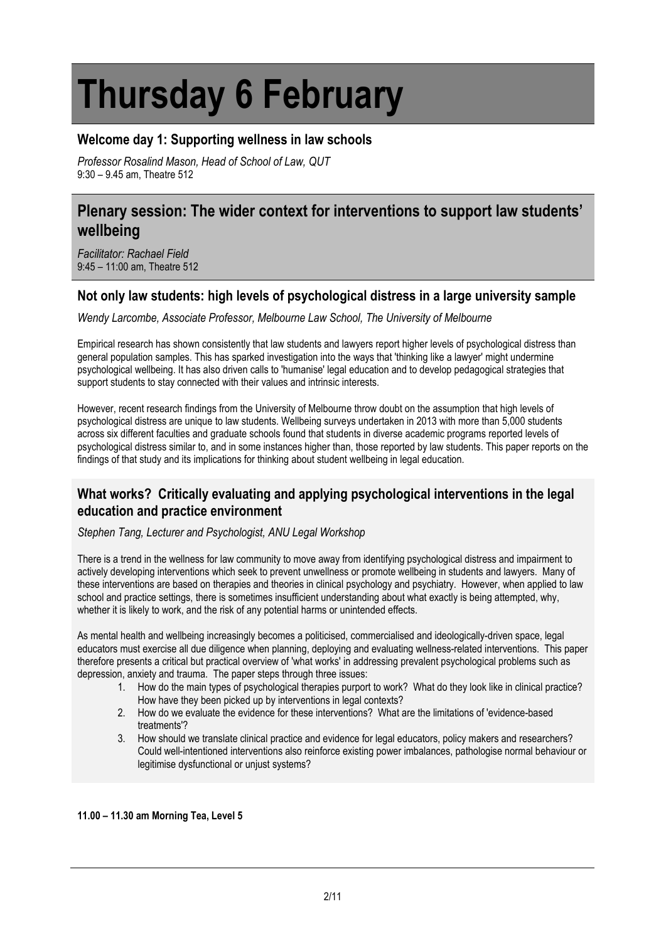# **Thursday 6 February**

## **Welcome day 1: Supporting wellness in law schools**

*Professor Rosalind Mason, Head of School of Law, QUT* 9:30 – 9.45 am, Theatre 512

## **Plenary session: The wider context for interventions to support law students' wellbeing**

*Facilitator: Rachael Field* 9:45 – 11:00 am, Theatre 512

#### **Not only law students: high levels of psychological distress in a large university sample**

*Wendy Larcombe, Associate Professor, Melbourne Law School, The University of Melbourne*

Empirical research has shown consistently that law students and lawyers report higher levels of psychological distress than general population samples. This has sparked investigation into the ways that 'thinking like a lawyer' might undermine psychological wellbeing. It has also driven calls to 'humanise' legal education and to develop pedagogical strategies that support students to stay connected with their values and intrinsic interests.

However, recent research findings from the University of Melbourne throw doubt on the assumption that high levels of psychological distress are unique to law students. Wellbeing surveys undertaken in 2013 with more than 5,000 students across six different faculties and graduate schools found that students in diverse academic programs reported levels of psychological distress similar to, and in some instances higher than, those reported by law students. This paper reports on the findings of that study and its implications for thinking about student wellbeing in legal education.

## **What works? Critically evaluating and applying psychological interventions in the legal education and practice environment**

*Stephen Tang, Lecturer and Psychologist, ANU Legal Workshop*

There is a trend in the wellness for law community to move away from identifying psychological distress and impairment to actively developing interventions which seek to prevent unwellness or promote wellbeing in students and lawyers. Many of these interventions are based on therapies and theories in clinical psychology and psychiatry. However, when applied to law school and practice settings, there is sometimes insufficient understanding about what exactly is being attempted, why, whether it is likely to work, and the risk of any potential harms or unintended effects.

As mental health and wellbeing increasingly becomes a politicised, commercialised and ideologically-driven space, legal educators must exercise all due diligence when planning, deploying and evaluating wellness-related interventions. This paper therefore presents a critical but practical overview of 'what works' in addressing prevalent psychological problems such as depression, anxiety and trauma. The paper steps through three issues:

- 1. How do the main types of psychological therapies purport to work? What do they look like in clinical practice? How have they been picked up by interventions in legal contexts?
- 2. How do we evaluate the evidence for these interventions? What are the limitations of 'evidence-based treatments'?
- 3. How should we translate clinical practice and evidence for legal educators, policy makers and researchers? Could well-intentioned interventions also reinforce existing power imbalances, pathologise normal behaviour or legitimise dysfunctional or unjust systems?

#### **11.00 – 11.30 am Morning Tea, Level 5**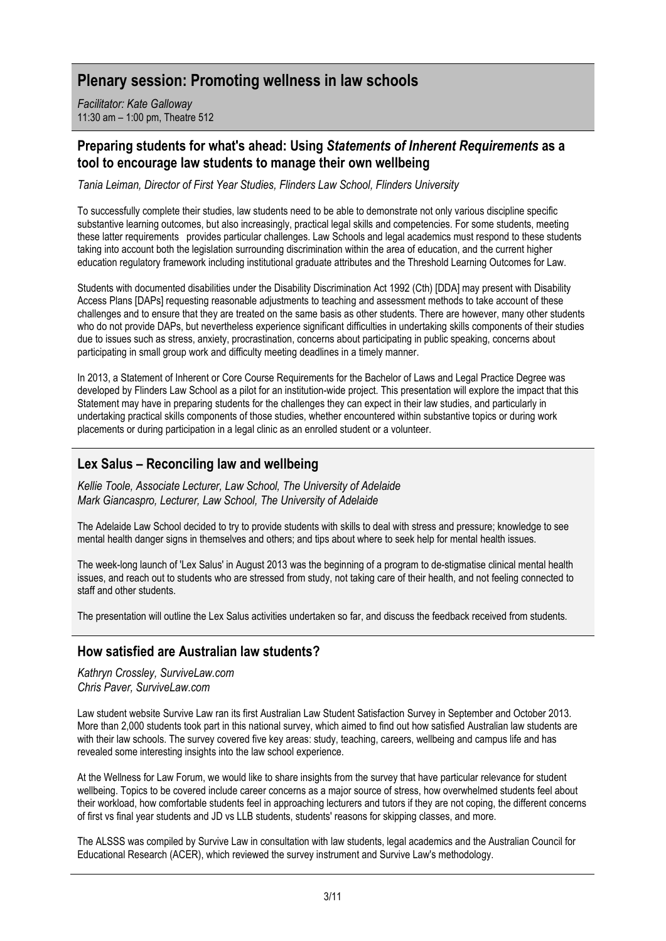## **Plenary session: Promoting wellness in law schools**

*Facilitator: Kate Galloway* 11:30 am – 1:00 pm, Theatre 512

#### **Preparing students for what's ahead: Using** *Statements of Inherent Requirements* **as a tool to encourage law students to manage their own wellbeing**

*Tania Leiman, Director of First Year Studies, Flinders Law School, Flinders University*

To successfully complete their studies, law students need to be able to demonstrate not only various discipline specific substantive learning outcomes, but also increasingly, practical legal skills and competencies. For some students, meeting these latter requirements provides particular challenges. Law Schools and legal academics must respond to these students taking into account both the legislation surrounding discrimination within the area of education, and the current higher education regulatory framework including institutional graduate attributes and the Threshold Learning Outcomes for Law.

Students with documented disabilities under the Disability Discrimination Act 1992 (Cth) [DDA] may present with Disability Access Plans [DAPs] requesting reasonable adjustments to teaching and assessment methods to take account of these challenges and to ensure that they are treated on the same basis as other students. There are however, many other students who do not provide DAPs, but nevertheless experience significant difficulties in undertaking skills components of their studies due to issues such as stress, anxiety, procrastination, concerns about participating in public speaking, concerns about participating in small group work and difficulty meeting deadlines in a timely manner.

In 2013, a Statement of Inherent or Core Course Requirements for the Bachelor of Laws and Legal Practice Degree was developed by Flinders Law School as a pilot for an institution-wide project. This presentation will explore the impact that this Statement may have in preparing students for the challenges they can expect in their law studies, and particularly in undertaking practical skills components of those studies, whether encountered within substantive topics or during work placements or during participation in a legal clinic as an enrolled student or a volunteer.

## **Lex Salus – Reconciling law and wellbeing**

*Kellie Toole, Associate Lecturer, Law School, The University of Adelaide Mark Giancaspro, Lecturer, Law School, The University of Adelaide*

The Adelaide Law School decided to try to provide students with skills to deal with stress and pressure; knowledge to see mental health danger signs in themselves and others; and tips about where to seek help for mental health issues.

The week-long launch of 'Lex Salus' in August 2013 was the beginning of a program to de-stigmatise clinical mental health issues, and reach out to students who are stressed from study, not taking care of their health, and not feeling connected to staff and other students.

The presentation will outline the Lex Salus activities undertaken so far, and discuss the feedback received from students.

## **How satisfied are Australian law students?**

*Kathryn Crossley, SurviveLaw.com Chris Paver, SurviveLaw.com* 

Law student website Survive Law ran its first Australian Law Student Satisfaction Survey in September and October 2013. More than 2,000 students took part in this national survey, which aimed to find out how satisfied Australian law students are with their law schools. The survey covered five key areas: study, teaching, careers, wellbeing and campus life and has revealed some interesting insights into the law school experience.

At the Wellness for Law Forum, we would like to share insights from the survey that have particular relevance for student wellbeing. Topics to be covered include career concerns as a major source of stress, how overwhelmed students feel about their workload, how comfortable students feel in approaching lecturers and tutors if they are not coping, the different concerns of first vs final year students and JD vs LLB students, students' reasons for skipping classes, and more.

The ALSSS was compiled by Survive Law in consultation with law students, legal academics and the Australian Council for Educational Research (ACER), which reviewed the survey instrument and Survive Law's methodology.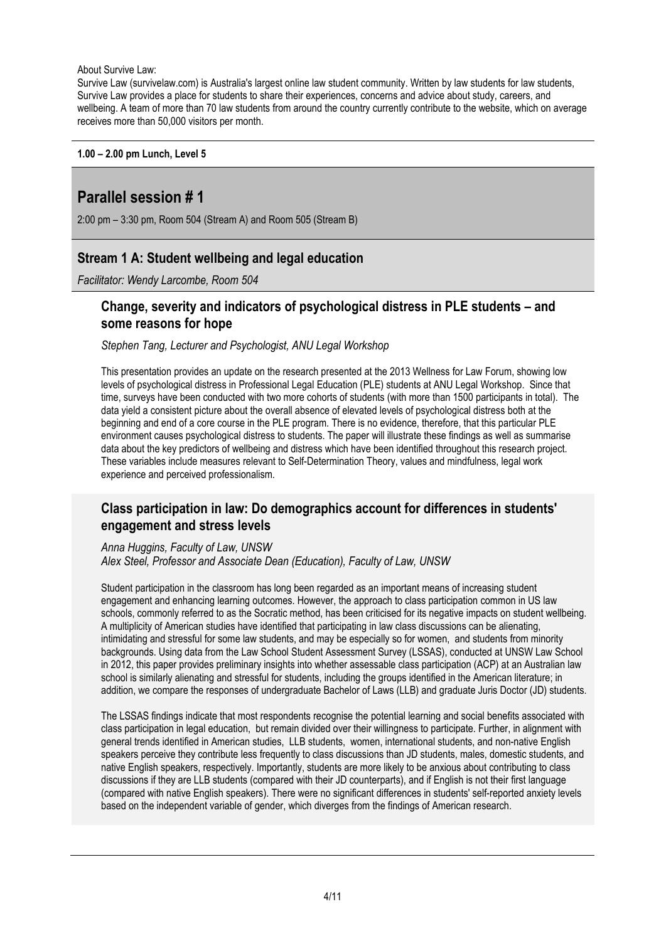About Survive Law:

Survive Law (survivelaw.com) is Australia's largest online law student community. Written by law students for law students, Survive Law provides a place for students to share their experiences, concerns and advice about study, careers, and wellbeing. A team of more than 70 law students from around the country currently contribute to the website, which on average receives more than 50,000 visitors per month.

#### **1.00 – 2.00 pm Lunch, Level 5**

## **Parallel session # 1**

2:00 pm – 3:30 pm, Room 504 (Stream A) and Room 505 (Stream B)

## **Stream 1 A: Student wellbeing and legal education**

*Facilitator: Wendy Larcombe, Room 504*

#### **Change, severity and indicators of psychological distress in PLE students – and some reasons for hope**

*Stephen Tang, Lecturer and Psychologist, ANU Legal Workshop*

This presentation provides an update on the research presented at the 2013 Wellness for Law Forum, showing low levels of psychological distress in Professional Legal Education (PLE) students at ANU Legal Workshop. Since that time, surveys have been conducted with two more cohorts of students (with more than 1500 participants in total). The data yield a consistent picture about the overall absence of elevated levels of psychological distress both at the beginning and end of a core course in the PLE program. There is no evidence, therefore, that this particular PLE environment causes psychological distress to students. The paper will illustrate these findings as well as summarise data about the key predictors of wellbeing and distress which have been identified throughout this research project. These variables include measures relevant to Self-Determination Theory, values and mindfulness, legal work experience and perceived professionalism.

#### **Class participation in law: Do demographics account for differences in students' engagement and stress levels**

# *Anna Huggins, Faculty of Law, UNSW*

*Alex Steel, Professor and Associate Dean (Education), Faculty of Law, UNSW*

Student participation in the classroom has long been regarded as an important means of increasing student engagement and enhancing learning outcomes. However, the approach to class participation common in US law schools, commonly referred to as the Socratic method, has been criticised for its negative impacts on student wellbeing. A multiplicity of American studies have identified that participating in law class discussions can be alienating, intimidating and stressful for some law students, and may be especially so for women, and students from minority backgrounds. Using data from the Law School Student Assessment Survey (LSSAS), conducted at UNSW Law School in 2012, this paper provides preliminary insights into whether assessable class participation (ACP) at an Australian law school is similarly alienating and stressful for students, including the groups identified in the American literature; in addition, we compare the responses of undergraduate Bachelor of Laws (LLB) and graduate Juris Doctor (JD) students.

The LSSAS findings indicate that most respondents recognise the potential learning and social benefits associated with class participation in legal education, but remain divided over their willingness to participate. Further, in alignment with general trends identified in American studies, LLB students, women, international students, and non-native English speakers perceive they contribute less frequently to class discussions than JD students, males, domestic students, and native English speakers, respectively. Importantly, students are more likely to be anxious about contributing to class discussions if they are LLB students (compared with their JD counterparts), and if English is not their first language (compared with native English speakers). There were no significant differences in students' self-reported anxiety levels based on the independent variable of gender, which diverges from the findings of American research.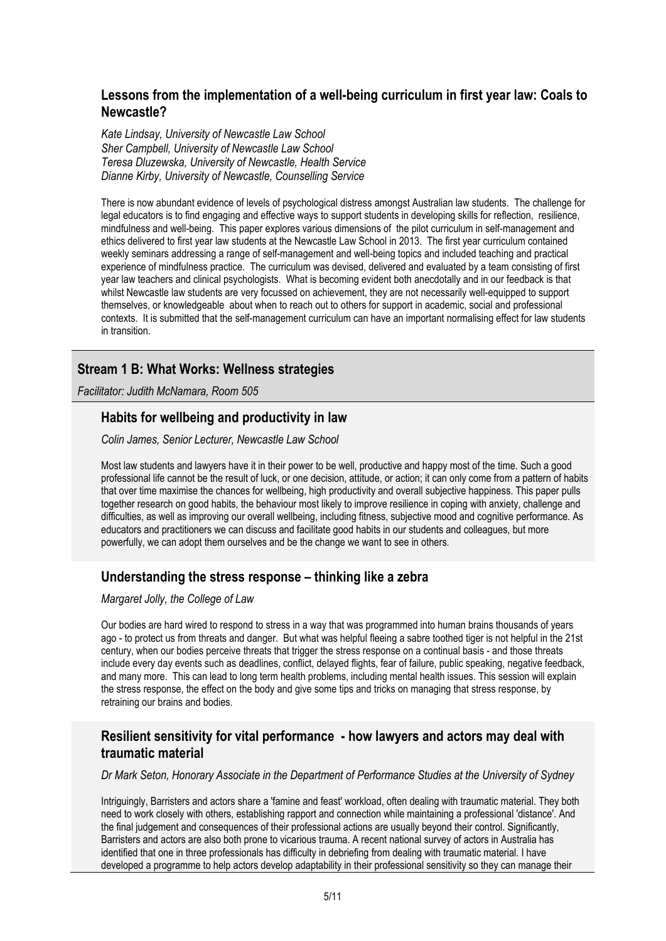#### **Lessons from the implementation of a well-being curriculum in first year law: Coals to Newcastle?**

*Kate Lindsay, University of Newcastle Law School Sher Campbell, University of Newcastle Law School Teresa Dluzewska, University of Newcastle, Health Service Dianne Kirby, University of Newcastle, Counselling Service*

There is now abundant evidence of levels of psychological distress amongst Australian law students. The challenge for legal educators is to find engaging and effective ways to support students in developing skills for reflection, resilience, mindfulness and well-being. This paper explores various dimensions of the pilot curriculum in self-management and ethics delivered to first year law students at the Newcastle Law School in 2013. The first year curriculum contained weekly seminars addressing a range of self-management and well-being topics and included teaching and practical experience of mindfulness practice. The curriculum was devised, delivered and evaluated by a team consisting of first year law teachers and clinical psychologists. What is becoming evident both anecdotally and in our feedback is that whilst Newcastle law students are very focussed on achievement, they are not necessarily well-equipped to support themselves, or knowledgeable about when to reach out to others for support in academic, social and professional contexts. It is submitted that the self-management curriculum can have an important normalising effect for law students in transition.

## **Stream 1 B: What Works: Wellness strategies**

*Facilitator: Judith McNamara, Room 505*

## **Habits for wellbeing and productivity in law**

*Colin James, Senior Lecturer, Newcastle Law School*

Most law students and lawyers have it in their power to be well, productive and happy most of the time. Such a good professional life cannot be the result of luck, or one decision, attitude, or action; it can only come from a pattern of habits that over time maximise the chances for wellbeing, high productivity and overall subjective happiness. This paper pulls together research on good habits, the behaviour most likely to improve resilience in coping with anxiety, challenge and difficulties, as well as improving our overall wellbeing, including fitness, subjective mood and cognitive performance. As educators and practitioners we can discuss and facilitate good habits in our students and colleagues, but more powerfully, we can adopt them ourselves and be the change we want to see in others.

## **Understanding the stress response – thinking like a zebra**

*Margaret Jolly, the College of Law*

Our bodies are hard wired to respond to stress in a way that was programmed into human brains thousands of years ago - to protect us from threats and danger. But what was helpful fleeing a sabre toothed tiger is not helpful in the 21st century, when our bodies perceive threats that trigger the stress response on a continual basis - and those threats include every day events such as deadlines, conflict, delayed flights, fear of failure, public speaking, negative feedback, and many more. This can lead to long term health problems, including mental health issues. This session will explain the stress response, the effect on the body and give some tips and tricks on managing that stress response, by retraining our brains and bodies.

#### **Resilient sensitivity for vital performance - how lawyers and actors may deal with traumatic material**

*Dr Mark Seton, Honorary Associate in the Department of Performance Studies at the University of Sydney*

Intriguingly, Barristers and actors share a 'famine and feast' workload, often dealing with traumatic material. They both need to work closely with others, establishing rapport and connection while maintaining a professional 'distance'. And the final judgement and consequences of their professional actions are usually beyond their control. Significantly, Barristers and actors are also both prone to vicarious trauma. A recent national survey of actors in Australia has identified that one in three professionals has difficulty in debriefing from dealing with traumatic material. I have developed a programme to help actors develop adaptability in their professional sensitivity so they can manage their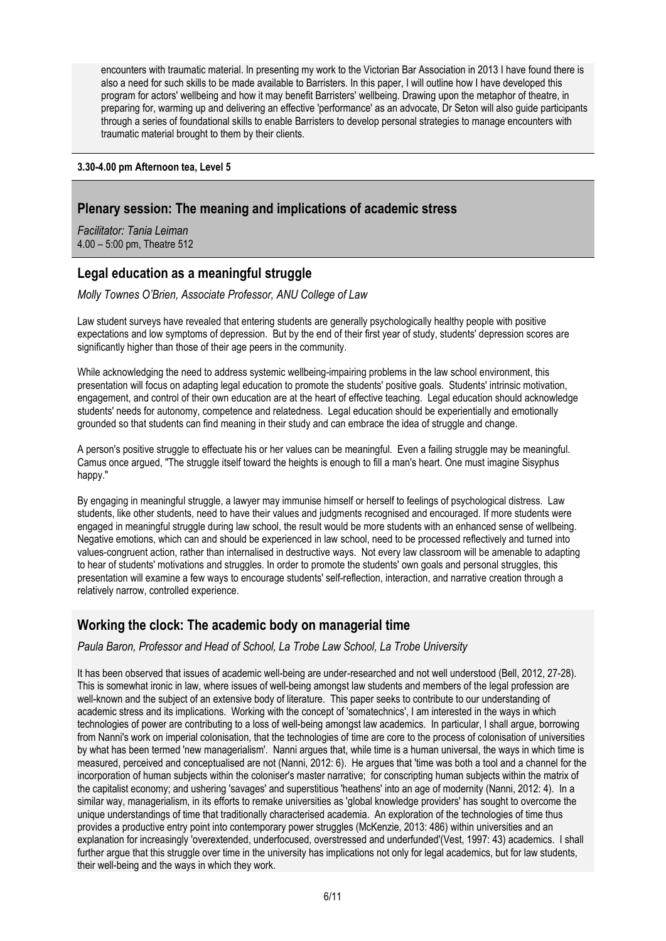encounters with traumatic material. In presenting my work to the Victorian Bar Association in 2013 I have found there is also a need for such skills to be made available to Barristers. In this paper, I will outline how I have developed this program for actors' wellbeing and how it may benefit Barristers' wellbeing. Drawing upon the metaphor of theatre, in preparing for, warming up and delivering an effective 'performance' as an advocate, Dr Seton will also guide participants through a series of foundational skills to enable Barristers to develop personal strategies to manage encounters with traumatic material brought to them by their clients.

#### **3.30-4.00 pm Afternoon tea, Level 5**

#### **Plenary session: The meaning and implications of academic stress**

*Facilitator: Tania Leiman* 4.00 – 5:00 pm, Theatre 512

#### **Legal education as a meaningful struggle**

*Molly Townes O'Brien, Associate Professor, ANU College of Law*

Law student surveys have revealed that entering students are generally psychologically healthy people with positive expectations and low symptoms of depression. But by the end of their first year of study, students' depression scores are significantly higher than those of their age peers in the community.

While acknowledging the need to address systemic wellbeing-impairing problems in the law school environment, this presentation will focus on adapting legal education to promote the students' positive goals. Students' intrinsic motivation, engagement, and control of their own education are at the heart of effective teaching. Legal education should acknowledge students' needs for autonomy, competence and relatedness. Legal education should be experientially and emotionally grounded so that students can find meaning in their study and can embrace the idea of struggle and change.

A person's positive struggle to effectuate his or her values can be meaningful. Even a failing struggle may be meaningful. Camus once argued, "The struggle itself toward the heights is enough to fill a man's heart. One must imagine Sisyphus happy."

By engaging in meaningful struggle, a lawyer may immunise himself or herself to feelings of psychological distress. Law students, like other students, need to have their values and judgments recognised and encouraged. If more students were engaged in meaningful struggle during law school, the result would be more students with an enhanced sense of wellbeing. Negative emotions, which can and should be experienced in law school, need to be processed reflectively and turned into values-congruent action, rather than internalised in destructive ways. Not every law classroom will be amenable to adapting to hear of students' motivations and struggles. In order to promote the students' own goals and personal struggles, this presentation will examine a few ways to encourage students' self-reflection, interaction, and narrative creation through a relatively narrow, controlled experience.

#### **Working the clock: The academic body on managerial time**

*Paula Baron, Professor and Head of School, La Trobe Law School, La Trobe University*

It has been observed that issues of academic well-being are under-researched and not well understood (Bell, 2012, 27-28). This is somewhat ironic in law, where issues of well-being amongst law students and members of the legal profession are well-known and the subject of an extensive body of literature. This paper seeks to contribute to our understanding of academic stress and its implications. Working with the concept of 'somatechnics', I am interested in the ways in which technologies of power are contributing to a loss of well-being amongst law academics. In particular, I shall argue, borrowing from Nanni's work on imperial colonisation, that the technologies of time are core to the process of colonisation of universities by what has been termed 'new managerialism'. Nanni argues that, while time is a human universal, the ways in which time is measured, perceived and conceptualised are not (Nanni, 2012: 6). He argues that 'time was both a tool and a channel for the incorporation of human subjects within the coloniser's master narrative; for conscripting human subjects within the matrix of the capitalist economy; and ushering 'savages' and superstitious 'heathens' into an age of modernity (Nanni, 2012: 4). In a similar way, managerialism, in its efforts to remake universities as 'global knowledge providers' has sought to overcome the unique understandings of time that traditionally characterised academia. An exploration of the technologies of time thus provides a productive entry point into contemporary power struggles (McKenzie, 2013: 486) within universities and an explanation for increasingly 'overextended, underfocused, overstressed and underfunded'(Vest, 1997: 43) academics. I shall further argue that this struggle over time in the university has implications not only for legal academics, but for law students, their well-being and the ways in which they work.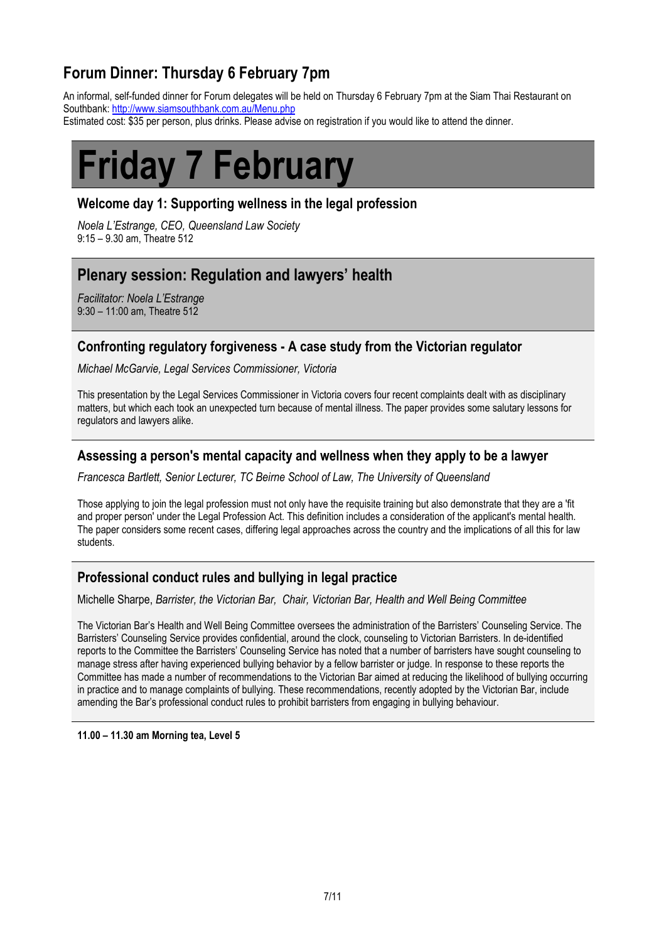# **Forum Dinner: Thursday 6 February 7pm**

An informal, self-funded dinner for Forum delegates will be held on Thursday 6 February 7pm at the Siam Thai Restaurant on Southbank[: http://www.siamsouthbank.com.au/Menu.php](https://owa.unimelb.edu.au/OWA/redir.aspx?C=qrN2P45-gUW5YvmjjNhUE9dpPkgV5dAIuQAO-OSiXmPYmfzdY86AsKfKfV-pU4vMnz9RV1-UaNE.&URL=http%3a%2f%2fwww.siamsouthbank.com.au%2fMenu.php)

Estimated cost: \$35 per person, plus drinks. Please advise on registration if you would like to attend the dinner.

# **Friday 7 February**

#### **Welcome day 1: Supporting wellness in the legal profession**

*Noela L'Estrange, CEO, Queensland Law Society* 9:15 – 9.30 am, Theatre 512

## **Plenary session: Regulation and lawyers' health**

*Facilitator: Noela L'Estrange* 9:30 – 11:00 am, Theatre 512

#### **Confronting regulatory forgiveness - A case study from the Victorian regulator**

*Michael McGarvie, Legal Services Commissioner, Victoria*

This presentation by the Legal Services Commissioner in Victoria covers four recent complaints dealt with as disciplinary matters, but which each took an unexpected turn because of mental illness. The paper provides some salutary lessons for regulators and lawyers alike.

#### **Assessing a person's mental capacity and wellness when they apply to be a lawyer**

*Francesca Bartlett, Senior Lecturer, TC Beirne School of Law, The University of Queensland*

Those applying to join the legal profession must not only have the requisite training but also demonstrate that they are a 'fit and proper person' under the Legal Profession Act. This definition includes a consideration of the applicant's mental health. The paper considers some recent cases, differing legal approaches across the country and the implications of all this for law students.

## **Professional conduct rules and bullying in legal practice**

Michelle Sharpe, *Barrister, the Victorian Bar, Chair, Victorian Bar, Health and Well Being Committee*

The Victorian Bar's Health and Well Being Committee oversees the administration of the Barristers' Counseling Service. The Barristers' Counseling Service provides confidential, around the clock, counseling to Victorian Barristers. In de-identified reports to the Committee the Barristers' Counseling Service has noted that a number of barristers have sought counseling to manage stress after having experienced bullying behavior by a fellow barrister or judge. In response to these reports the Committee has made a number of recommendations to the Victorian Bar aimed at reducing the likelihood of bullying occurring in practice and to manage complaints of bullying. These recommendations, recently adopted by the Victorian Bar, include amending the Bar's professional conduct rules to prohibit barristers from engaging in bullying behaviour.

**11.00 – 11.30 am Morning tea, Level 5**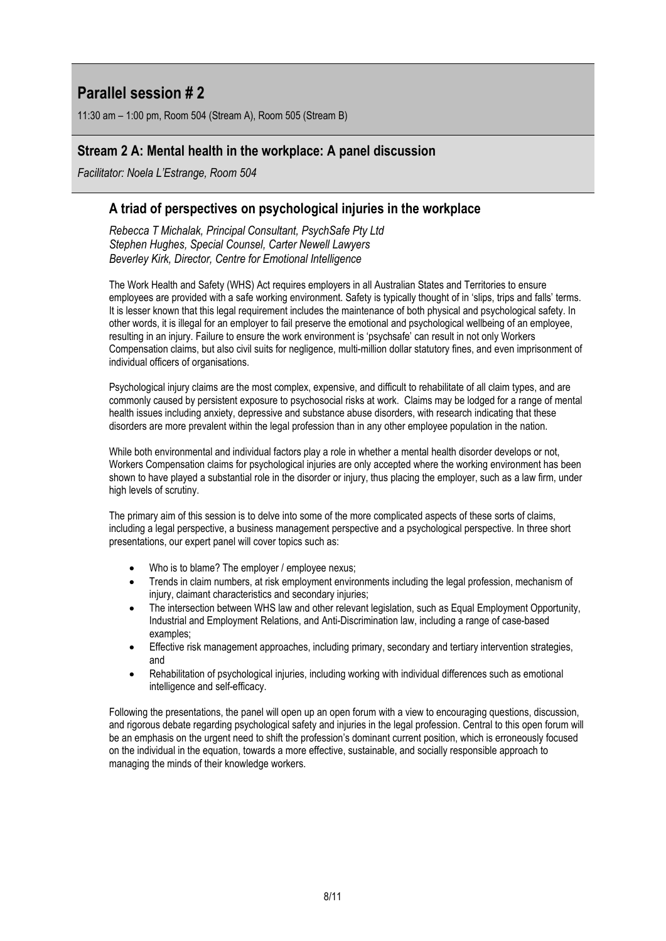# **Parallel session # 2**

11:30 am – 1:00 pm, Room 504 (Stream A), Room 505 (Stream B)

#### **Stream 2 A: Mental health in the workplace: A panel discussion**

*Facilitator: Noela L'Estrange, Room 504*

#### **A triad of perspectives on psychological injuries in the workplace**

*Rebecca T Michalak, Principal Consultant, PsychSafe Pty Ltd Stephen Hughes, Special Counsel, Carter Newell Lawyers Beverley Kirk, Director, Centre for Emotional Intelligence*

The Work Health and Safety (WHS) Act requires employers in all Australian States and Territories to ensure employees are provided with a safe working environment. Safety is typically thought of in 'slips, trips and falls' terms. It is lesser known that this legal requirement includes the maintenance of both physical and psychological safety. In other words, it is illegal for an employer to fail preserve the emotional and psychological wellbeing of an employee, resulting in an injury. Failure to ensure the work environment is 'psychsafe' can result in not only Workers Compensation claims, but also civil suits for negligence, multi-million dollar statutory fines, and even imprisonment of individual officers of organisations.

Psychological injury claims are the most complex, expensive, and difficult to rehabilitate of all claim types, and are commonly caused by persistent exposure to psychosocial risks at work. Claims may be lodged for a range of mental health issues including anxiety, depressive and substance abuse disorders, with research indicating that these disorders are more prevalent within the legal profession than in any other employee population in the nation.

While both environmental and individual factors play a role in whether a mental health disorder develops or not, Workers Compensation claims for psychological injuries are only accepted where the working environment has been shown to have played a substantial role in the disorder or injury, thus placing the employer, such as a law firm, under high levels of scrutiny.

The primary aim of this session is to delve into some of the more complicated aspects of these sorts of claims, including a legal perspective, a business management perspective and a psychological perspective. In three short presentations, our expert panel will cover topics such as:

- Who is to blame? The employer / employee nexus;
- Trends in claim numbers, at risk employment environments including the legal profession, mechanism of injury, claimant characteristics and secondary injuries;
- The intersection between WHS law and other relevant legislation, such as Equal Employment Opportunity, Industrial and Employment Relations, and Anti-Discrimination law, including a range of case-based examples;
- Effective risk management approaches, including primary, secondary and tertiary intervention strategies, and
- Rehabilitation of psychological injuries, including working with individual differences such as emotional intelligence and self-efficacy.

Following the presentations, the panel will open up an open forum with a view to encouraging questions, discussion, and rigorous debate regarding psychological safety and injuries in the legal profession. Central to this open forum will be an emphasis on the urgent need to shift the profession's dominant current position, which is erroneously focused on the individual in the equation, towards a more effective, sustainable, and socially responsible approach to managing the minds of their knowledge workers.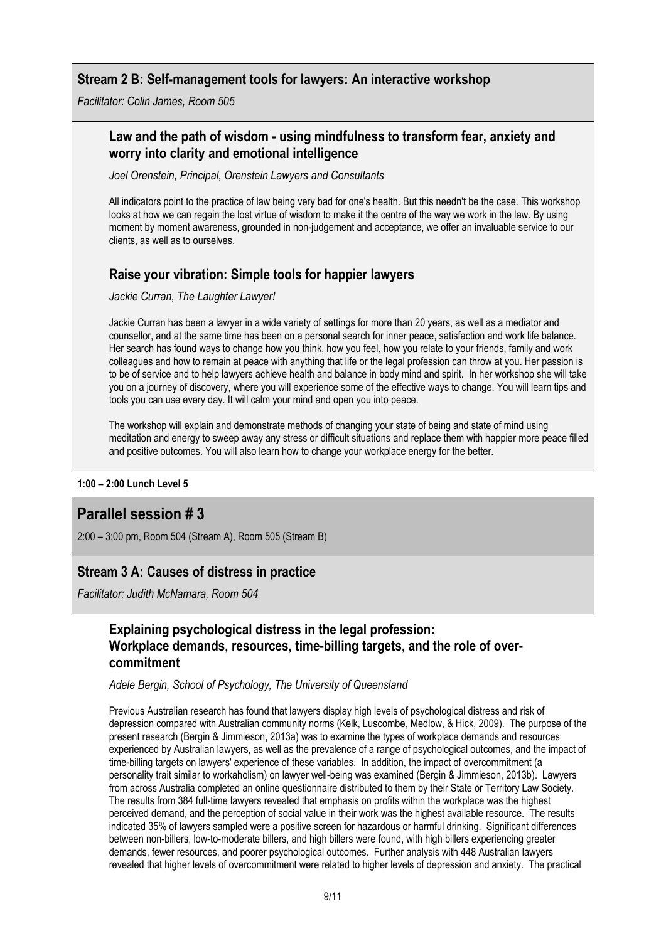#### **Stream 2 B: Self-management tools for lawyers: An interactive workshop**

*Facilitator: Colin James, Room 505*

#### **Law and the path of wisdom - using mindfulness to transform fear, anxiety and worry into clarity and emotional intelligence**

*Joel Orenstein, Principal, Orenstein Lawyers and Consultants*

All indicators point to the practice of law being very bad for one's health. But this needn't be the case. This workshop looks at how we can regain the lost virtue of wisdom to make it the centre of the way we work in the law. By using moment by moment awareness, grounded in non-judgement and acceptance, we offer an invaluable service to our clients, as well as to ourselves.

#### **Raise your vibration: Simple tools for happier lawyers**

*Jackie Curran, The Laughter Lawyer!*

Jackie Curran has been a lawyer in a wide variety of settings for more than 20 years, as well as a mediator and counsellor, and at the same time has been on a personal search for inner peace, satisfaction and work life balance. Her search has found ways to change how you think, how you feel, how you relate to your friends, family and work colleagues and how to remain at peace with anything that life or the legal profession can throw at you. Her passion is to be of service and to help lawyers achieve health and balance in body mind and spirit. In her workshop she will take you on a journey of discovery, where you will experience some of the effective ways to change. You will learn tips and tools you can use every day. It will calm your mind and open you into peace.

The workshop will explain and demonstrate methods of changing your state of being and state of mind using meditation and energy to sweep away any stress or difficult situations and replace them with happier more peace filled and positive outcomes. You will also learn how to change your workplace energy for the better.

**1:00 – 2:00 Lunch Level 5**

## **Parallel session # 3**

2:00 – 3:00 pm, Room 504 (Stream A), Room 505 (Stream B)

#### **Stream 3 A: Causes of distress in practice**

*Facilitator: Judith McNamara, Room 504*

## **Explaining psychological distress in the legal profession: Workplace demands, resources, time-billing targets, and the role of overcommitment**

#### *Adele Bergin, School of Psychology, The University of Queensland*

Previous Australian research has found that lawyers display high levels of psychological distress and risk of depression compared with Australian community norms (Kelk, Luscombe, Medlow, & Hick, 2009). The purpose of the present research (Bergin & Jimmieson, 2013a) was to examine the types of workplace demands and resources experienced by Australian lawyers, as well as the prevalence of a range of psychological outcomes, and the impact of time-billing targets on lawyers' experience of these variables. In addition, the impact of overcommitment (a personality trait similar to workaholism) on lawyer well-being was examined (Bergin & Jimmieson, 2013b). Lawyers from across Australia completed an online questionnaire distributed to them by their State or Territory Law Society. The results from 384 full-time lawyers revealed that emphasis on profits within the workplace was the highest perceived demand, and the perception of social value in their work was the highest available resource. The results indicated 35% of lawyers sampled were a positive screen for hazardous or harmful drinking. Significant differences between non-billers, low-to-moderate billers, and high billers were found, with high billers experiencing greater demands, fewer resources, and poorer psychological outcomes. Further analysis with 448 Australian lawyers revealed that higher levels of overcommitment were related to higher levels of depression and anxiety. The practical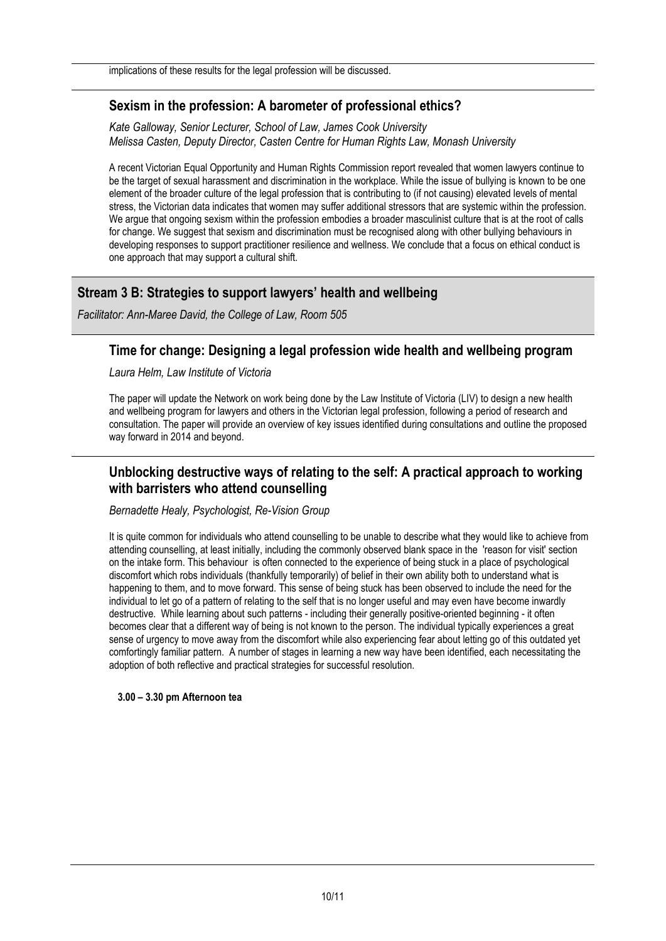implications of these results for the legal profession will be discussed.

#### **Sexism in the profession: A barometer of professional ethics?**

*Kate Galloway, Senior Lecturer, School of Law, James Cook University Melissa Casten, Deputy Director, Casten Centre for Human Rights Law, Monash University*

A recent Victorian Equal Opportunity and Human Rights Commission report revealed that women lawyers continue to be the target of sexual harassment and discrimination in the workplace. While the issue of bullying is known to be one element of the broader culture of the legal profession that is contributing to (if not causing) elevated levels of mental stress, the Victorian data indicates that women may suffer additional stressors that are systemic within the profession. We argue that ongoing sexism within the profession embodies a broader masculinist culture that is at the root of calls for change. We suggest that sexism and discrimination must be recognised along with other bullying behaviours in developing responses to support practitioner resilience and wellness. We conclude that a focus on ethical conduct is one approach that may support a cultural shift.

#### **Stream 3 B: Strategies to support lawyers' health and wellbeing**

*Facilitator: Ann-Maree David, the College of Law, Room 505*

#### **Time for change: Designing a legal profession wide health and wellbeing program**

*Laura Helm, Law Institute of Victoria*

The paper will update the Network on work being done by the Law Institute of Victoria (LIV) to design a new health and wellbeing program for lawyers and others in the Victorian legal profession, following a period of research and consultation. The paper will provide an overview of key issues identified during consultations and outline the proposed way forward in 2014 and beyond.

#### **Unblocking destructive ways of relating to the self: A practical approach to working with barristers who attend counselling**

#### *Bernadette Healy, Psychologist, Re-Vision Group*

It is quite common for individuals who attend counselling to be unable to describe what they would like to achieve from attending counselling, at least initially, including the commonly observed blank space in the 'reason for visit' section on the intake form. This behaviour is often connected to the experience of being stuck in a place of psychological discomfort which robs individuals (thankfully temporarily) of belief in their own ability both to understand what is happening to them, and to move forward. This sense of being stuck has been observed to include the need for the individual to let go of a pattern of relating to the self that is no longer useful and may even have become inwardly destructive. While learning about such patterns - including their generally positive-oriented beginning - it often becomes clear that a different way of being is not known to the person. The individual typically experiences a great sense of urgency to move away from the discomfort while also experiencing fear about letting go of this outdated yet comfortingly familiar pattern. A number of stages in learning a new way have been identified, each necessitating the adoption of both reflective and practical strategies for successful resolution.

#### **3.00 – 3.30 pm Afternoon tea**